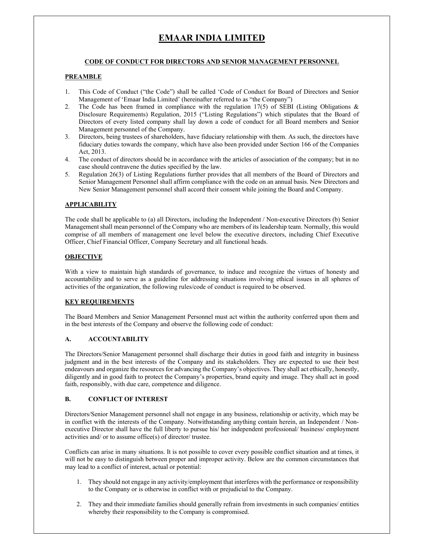# **EMAAR INDIA LIMITED**

## **CODE OF CONDUCT FOR DIRECTORS AND SENIOR MANAGEMENT PERSONNEL**

#### **PREAMBLE**

- 1. This Code of Conduct ("the Code") shall be called 'Code of Conduct for Board of Directors and Senior Management of 'Emaar India Limited' (hereinafter referred to as "the Company")
- 2. The Code has been framed in compliance with the regulation  $17(5)$  of SEBI (Listing Obligations & Disclosure Requirements) Regulation, 2015 ("Listing Regulations") which stipulates that the Board of Directors of every listed company shall lay down a code of conduct for all Board members and Senior Management personnel of the Company.
- 3. Directors, being trustees of shareholders, have fiduciary relationship with them. As such, the directors have fiduciary duties towards the company, which have also been provided under Section 166 of the Companies Act, 2013.
- 4. The conduct of directors should be in accordance with the articles of association of the company; but in no case should contravene the duties specified by the law.
- 5. Regulation 26(3) of Listing Regulations further provides that all members of the Board of Directors and Senior Management Personnel shall affirm compliance with the code on an annual basis. New Directors and New Senior Management personnel shall accord their consent while joining the Board and Company.

#### **APPLICABILITY**

The code shall be applicable to (a) all Directors, including the Independent / Non-executive Directors (b) Senior Management shall mean personnel of the Company who are members of its leadership team. Normally, this would comprise of all members of management one level below the executive directors, including Chief Executive Officer, Chief Financial Officer, Company Secretary and all functional heads.

#### **OBJECTIVE**

With a view to maintain high standards of governance, to induce and recognize the virtues of honesty and accountability and to serve as a guideline for addressing situations involving ethical issues in all spheres of activities of the organization, the following rules/code of conduct is required to be observed.

#### **KEY REQUIREMENTS**

The Board Members and Senior Management Personnel must act within the authority conferred upon them and in the best interests of the Company and observe the following code of conduct:

#### **A. ACCOUNTABILITY**

The Directors/Senior Management personnel shall discharge their duties in good faith and integrity in business judgment and in the best interests of the Company and its stakeholders. They are expected to use their best endeavours and organize the resources for advancing the Company's objectives. They shall act ethically, honestly, diligently and in good faith to protect the Company's properties, brand equity and image. They shall act in good faith, responsibly, with due care, competence and diligence.

#### **B. CONFLICT OF INTEREST**

Directors/Senior Management personnel shall not engage in any business, relationship or activity, which may be in conflict with the interests of the Company. Notwithstanding anything contain herein, an Independent / Nonexecutive Director shall have the full liberty to pursue his/ her independent professional/ business/ employment activities and/ or to assume office(s) of director/ trustee.

Conflicts can arise in many situations. It is not possible to cover every possible conflict situation and at times, it will not be easy to distinguish between proper and improper activity. Below are the common circumstances that may lead to a conflict of interest, actual or potential:

- 1. They should not engage in any activity/employment that interferes with the performance or responsibility to the Company or is otherwise in conflict with or prejudicial to the Company.
- 2. They and their immediate families should generally refrain from investments in such companies/ entities whereby their responsibility to the Company is compromised.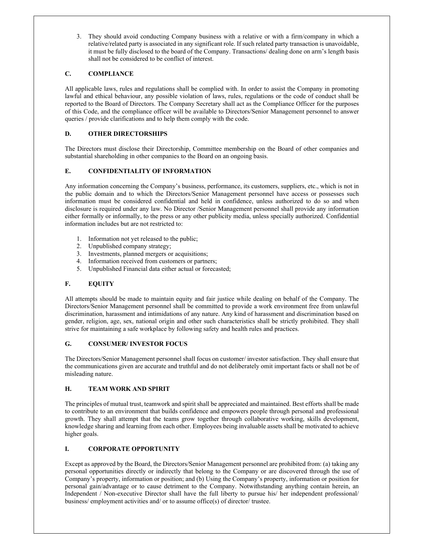3. They should avoid conducting Company business with a relative or with a firm/company in which a relative/related party is associated in any significant role. If such related party transaction is unavoidable, it must be fully disclosed to the board of the Company. Transactions/ dealing done on arm's length basis shall not be considered to be conflict of interest.

# **C. COMPLIANCE**

All applicable laws, rules and regulations shall be complied with. In order to assist the Company in promoting lawful and ethical behaviour, any possible violation of laws, rules, regulations or the code of conduct shall be reported to the Board of Directors. The Company Secretary shall act as the Compliance Officer for the purposes of this Code, and the compliance officer will be available to Directors/Senior Management personnel to answer queries / provide clarifications and to help them comply with the code.

# **D. OTHER DIRECTORSHIPS**

The Directors must disclose their Directorship, Committee membership on the Board of other companies and substantial shareholding in other companies to the Board on an ongoing basis.

## **E. CONFIDENTIALITY OF INFORMATION**

Any information concerning the Company's business, performance, its customers, suppliers, etc., which is not in the public domain and to which the Directors/Senior Management personnel have access or possesses such information must be considered confidential and held in confidence, unless authorized to do so and when disclosure is required under any law. No Director /Senior Management personnel shall provide any information either formally or informally, to the press or any other publicity media, unless specially authorized. Confidential information includes but are not restricted to:

- 1. Information not yet released to the public;
- 2. Unpublished company strategy;
- 3. Investments, planned mergers or acquisitions;
- 4. Information received from customers or partners;
- 5. Unpublished Financial data either actual or forecasted;

## **F. EQUITY**

All attempts should be made to maintain equity and fair justice while dealing on behalf of the Company. The Directors/Senior Management personnel shall be committed to provide a work environment free from unlawful discrimination, harassment and intimidations of any nature. Any kind of harassment and discrimination based on gender, religion, age, sex, national origin and other such characteristics shall be strictly prohibited. They shall strive for maintaining a safe workplace by following safety and health rules and practices.

## **G. CONSUMER/ INVESTOR FOCUS**

The Directors/Senior Management personnel shall focus on customer/ investor satisfaction. They shall ensure that the communications given are accurate and truthful and do not deliberately omit important facts or shall not be of misleading nature.

## **H. TEAM WORK AND SPIRIT**

The principles of mutual trust, teamwork and spirit shall be appreciated and maintained. Best efforts shall be made to contribute to an environment that builds confidence and empowers people through personal and professional growth. They shall attempt that the teams grow together through collaborative working, skills development, knowledge sharing and learning from each other. Employees being invaluable assets shall be motivated to achieve higher goals.

## **I. CORPORATE OPPORTUNITY**

Except as approved by the Board, the Directors/Senior Management personnel are prohibited from: (a) taking any personal opportunities directly or indirectly that belong to the Company or are discovered through the use of Company's property, information or position; and (b) Using the Company's property, information or position for personal gain/advantage or to cause detriment to the Company. Notwithstanding anything contain herein, an Independent / Non-executive Director shall have the full liberty to pursue his/ her independent professional/ business/ employment activities and/ or to assume office(s) of director/ trustee.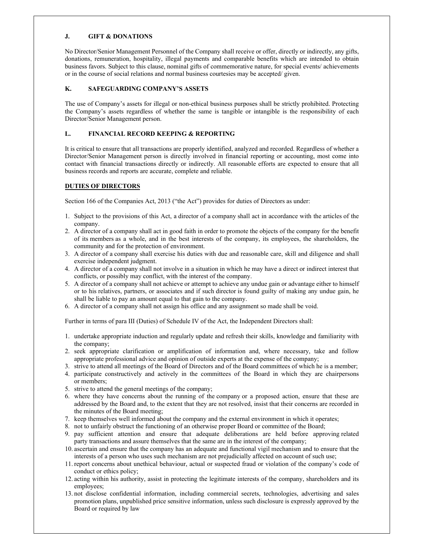## **J. GIFT & DONATIONS**

No Director/Senior Management Personnel of the Company shall receive or offer, directly or indirectly, any gifts, donations, remuneration, hospitality, illegal payments and comparable benefits which are intended to obtain business favors. Subject to this clause, nominal gifts of commemorative nature, for special events/ achievements or in the course of social relations and normal business courtesies may be accepted/ given.

# **K. SAFEGUARDING COMPANY'S ASSETS**

The use of Company's assets for illegal or non-ethical business purposes shall be strictly prohibited. Protecting the Company's assets regardless of whether the same is tangible or intangible is the responsibility of each Director/Senior Management person.

# **L. FINANCIAL RECORD KEEPING & REPORTING**

It is critical to ensure that all transactions are properly identified, analyzed and recorded. Regardless of whether a Director/Senior Management person is directly involved in financial reporting or accounting, most come into contact with financial transactions directly or indirectly. All reasonable efforts are expected to ensure that all business records and reports are accurate, complete and reliable.

# **DUTIES OF DIRECTORS**

Section 166 of the Companies Act, 2013 ("the Act") provides for duties of Directors as under:

- 1. Subject to the provisions of this Act, a director of a company shall act in accordance with the articles of the company.
- 2. A director of a company shall act in good faith in order to promote the objects of the company for the benefit of its members as a whole, and in the best interests of the company, its employees, the shareholders, the community and for the protection of environment.
- 3. A director of a company shall exercise his duties with due and reasonable care, skill and diligence and shall exercise independent judgment.
- 4. A director of a company shall not involve in a situation in which he may have a direct or indirect interest that conflicts, or possibly may conflict, with the interest of the company.
- 5. A director of a company shall not achieve or attempt to achieve any undue gain or advantage either to himself or to his relatives, partners, or associates and if such director is found guilty of making any undue gain, he shall be liable to pay an amount equal to that gain to the company.
- 6. A director of a company shall not assign his office and any assignment so made shall be void.

Further in terms of para III (Duties) of Schedule IV of the Act, the Independent Directors shall:

- 1. undertake appropriate induction and regularly update and refresh their skills, knowledge and familiarity with the company;
- 2. seek appropriate clarification or amplification of information and, where necessary, take and follow appropriate professional advice and opinion of outside experts at the expense of the company;
- 3. strive to attend all meetings of the Board of Directors and of the Board committees of which he is a member;
- 4. participate constructively and actively in the committees of the Board in which they are chairpersons or members;
- 5. strive to attend the general meetings of the company;
- 6. where they have concerns about the running of the company or a proposed action, ensure that these are addressed by the Board and, to the extent that they are not resolved, insist that their concerns are recorded in the minutes of the Board meeting;
- 7. keep themselves well informed about the company and the external environment in which it operates;
- 8. not to unfairly obstruct the functioning of an otherwise proper Board or committee of the Board;
- 9. pay sufficient attention and ensure that adequate deliberations are held before approving related party transactions and assure themselves that the same are in the interest of the company;
- 10. ascertain and ensure that the company has an adequate and functional vigil mechanism and to ensure that the interests of a person who uses such mechanism are not prejudicially affected on account of such use;
- 11. report concerns about unethical behaviour, actual or suspected fraud or violation of the company's code of conduct or ethics policy;
- 12. acting within his authority, assist in protecting the legitimate interests of the company, shareholders and its employees;
- 13. not disclose confidential information, including commercial secrets, technologies, advertising and sales promotion plans, unpublished price sensitive information, unless such disclosure is expressly approved by the Board or required by law